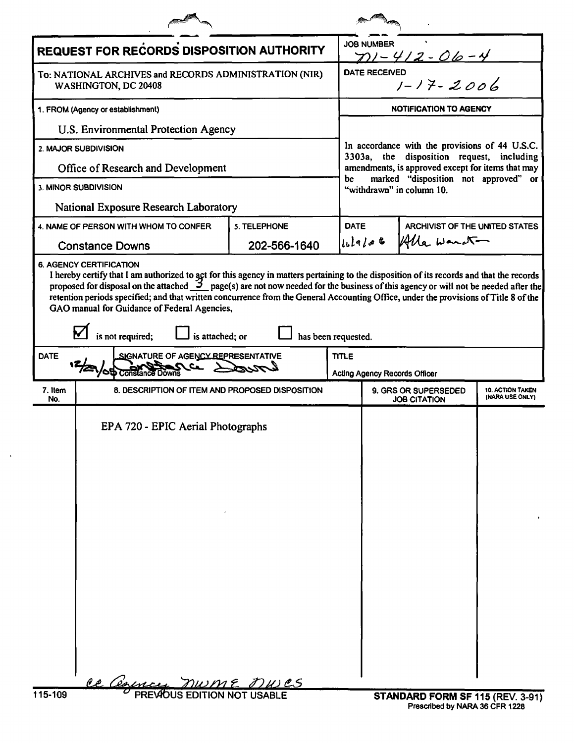| <b>REQUEST FOR RECORDS DISPOSITION AUTHORITY</b>                                                                                                                                                                                                                                                                                                                                                                  |                                                  |              |              | <b>JOB NUMBER</b><br>$711 - 412 - 06 - 4$                                                                                                        |                                  |  |  |
|-------------------------------------------------------------------------------------------------------------------------------------------------------------------------------------------------------------------------------------------------------------------------------------------------------------------------------------------------------------------------------------------------------------------|--------------------------------------------------|--------------|--------------|--------------------------------------------------------------------------------------------------------------------------------------------------|----------------------------------|--|--|
| To: NATIONAL ARCHIVES and RECORDS ADMINISTRATION (NIR)<br>WASHINGTON, DC 20408                                                                                                                                                                                                                                                                                                                                    |                                                  |              |              | <b>DATE RECEIVED</b><br>-<br>1 - 17 - 2006                                                                                                       |                                  |  |  |
| 1. FROM (Agency or establishment)                                                                                                                                                                                                                                                                                                                                                                                 |                                                  |              |              | <b>NOTIFICATION TO AGENCY</b>                                                                                                                    |                                  |  |  |
| U.S. Environmental Protection Agency                                                                                                                                                                                                                                                                                                                                                                              |                                                  |              |              | In accordance with the provisions of 44 U.S.C.<br>3303a, the disposition request, including<br>amendments, is approved except for items that may |                                  |  |  |
| 2. MAJOR SUBDIVISION                                                                                                                                                                                                                                                                                                                                                                                              |                                                  |              |              |                                                                                                                                                  |                                  |  |  |
| Office of Research and Development                                                                                                                                                                                                                                                                                                                                                                                |                                                  |              |              |                                                                                                                                                  |                                  |  |  |
| 3. MINOR SUBDIVISION                                                                                                                                                                                                                                                                                                                                                                                              |                                                  |              |              | marked "disposition not approved" or<br>be<br>"withdrawn" in column 10.                                                                          |                                  |  |  |
| National Exposure Research Laboratory                                                                                                                                                                                                                                                                                                                                                                             |                                                  |              |              |                                                                                                                                                  |                                  |  |  |
| 5. TELEPHONE<br>4. NAME OF PERSON WITH WHOM TO CONFER                                                                                                                                                                                                                                                                                                                                                             |                                                  |              | <b>DATE</b>  | ARCHIVIST OF THE UNITED STATES                                                                                                                   |                                  |  |  |
| <b>Constance Downs</b>                                                                                                                                                                                                                                                                                                                                                                                            |                                                  | 202-566-1640 |              | $ l_{L} $ q $ d $ to the                                                                                                                         | Alle Want-                       |  |  |
| proposed for disposal on the attached $\mathcal{I}_{\text{max}}$ page(s) are not now needed for the business of this agency or will not be needed after the<br>retention periods specified; and that written concurrence from the General Accounting Office, under the provisions of Title 8 of the<br>GAO manual for Guidance of Federal Agencies,<br>is not required;<br>is attached; or<br>has been requested. |                                                  |              |              |                                                                                                                                                  |                                  |  |  |
| <b>DATE</b><br>SIGNATURE OF AGENCY REPRESENTATIVE<br>$\sim$ compared to $\sim$                                                                                                                                                                                                                                                                                                                                    |                                                  |              | <b>TITLE</b> |                                                                                                                                                  |                                  |  |  |
| 7. Item<br>8. DESCRIPTION OF ITEM AND PROPOSED DISPOSITION                                                                                                                                                                                                                                                                                                                                                        |                                                  |              |              | Acting Agency Records Officer<br>9. GRS OR SUPERSEDED<br><b>10. ACTION TAKEN</b>                                                                 |                                  |  |  |
| No.                                                                                                                                                                                                                                                                                                                                                                                                               |                                                  |              |              | (NARA USE ONLY)<br><b>JOB CITATION</b>                                                                                                           |                                  |  |  |
|                                                                                                                                                                                                                                                                                                                                                                                                                   | EPA 720 - EPIC Aerial Photographs                |              |              |                                                                                                                                                  |                                  |  |  |
| 115-109                                                                                                                                                                                                                                                                                                                                                                                                           | Ce Cearney<br><b>PREVIOUS EDITION NOT USABLE</b> | nwme Dwes    |              |                                                                                                                                                  | STANDARD FORM SF 115 (REV. 3-91) |  |  |

 $\mathcal{A}$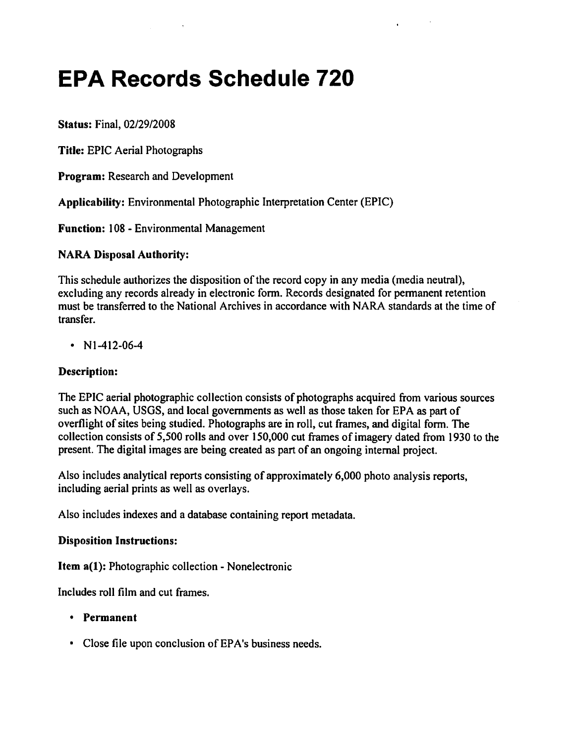# **EPA Records Schedule 720**

Status: Final, *02/29/2008*

Title: EPIC Aerial Photographs

Program: Research and Development

Applicability: Environmental Photographic Interpretation Center (EPIC)

Function: 108 - Environmental Management

#### NARA Disposal Authority:

This schedule authorizes the disposition of the record copy in any media (media neutral), excluding any records already in electronic form, Records designated for permanent retention must be transferred to the National Archives in accordance with NARA standards at the time of transfer.

•  $N1-412-06-4$ 

#### Description:

The EPIC aerial photographic collection consists of photographs acquired from various sources such as NOAA, USGS, and local governments as well as those taken for EPA as part of overflight of sites being studied. Photographs are in roll, cut frames, and digital form. The collection consists of 5,500 rolls and over 150,000 cut frames of imagery dated from 1930 to the present. The digital images are being created as part of an ongoing internal project.

Also includes analytical reports consisting of approximately 6,000 photo analysis reports, including aerial prints as well as overlays.

Also includes indexes and a database containing report metadata.

#### Disposition Instructions:

Item a(I): Photographic collection - Nonelectronic

Includes roll film and cut frames.

- Permanent
- Close file upon conclusion of EPA's business needs.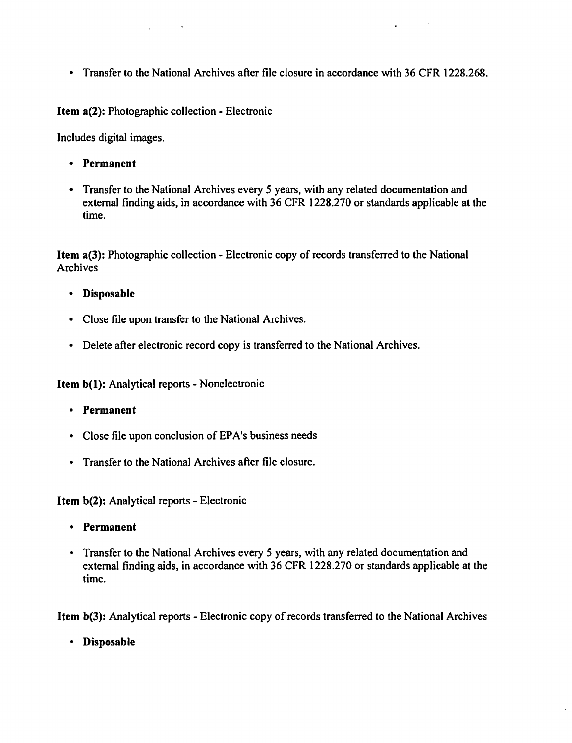• Transfer to the National Archives after file closure in accordance with 36 CFR 1228.268.

Item a(2): Photographic collection - Electronic

 $\sim 100$ 

Includes digital images.

- • Permanent
- Transfer to the National Archives every 5 years, with any related documentation and external finding aids, in accordance with 36 CFR 1228.270 or standards applicable at the time.

Item a(3): Photographic collection - Electronic copy of records transferred to the National Archives

- • Disposable
- • Close file upon transfer to the National Archives.
- Delete after electronic record copy is transferred to the National Archives.

Item b(l): Analytical reports - Nonelectronic

- • Permanent
- Close file upon conclusion of EPA's business needs
- Transfer to the National Archives after file closure.

Item b(2): Analytical reports - Electronic

- • Permanent
- Transfer to the National Archives every 5 years, with any related documentation and external finding aids. in accordance with 36 CFR 1228.270 or standards applicable at the time.

Item b(3): Analytical reports - Electronic copy of records transferred to the National Archives

• Disposable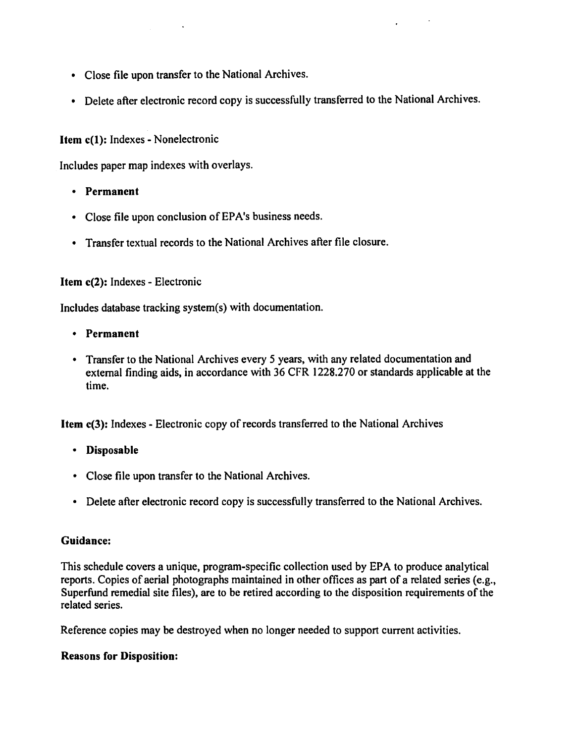- • Close file upon transfer to the National Archives.
- Delete after electronic record copy is successfully transferred to the National Archives.

## Item c(l): Indexes - Nonelectronic

Includes paper map indexes with overlays.

- • Permanent
- • Close file upon conclusion of EPA's business needs.
- • Transfer textual records to the National Archives after file closure.

## Item c(2): Indexes - Electronic

Includes database tracking system(s) with documentation.

- • Permanent
- Transfer to the National Archives every 5 years, with any related documentation and external finding aids, in accordance with 36 CFR 1228.270 or standards applicable at the time.

Item c(3): Indexes - Electronic copy of records transferred to the National Archives

- • Disposable
- • Close file upon transfer to the National Archives.
- Delete after electronic record copy is successfully transferred to the National Archives.

#### Guidance:

This schedule covers a unique, program-specific collection used by EPA to produce analytical reports. Copies of aerial photographs maintained in other offices as part of a related series (e.g., Superfund remedial site files), are to be retired according to the disposition requirements of the related series.

Reference copies may be destroyed when no longer needed to support current activities.

#### Reasons for Disposition: